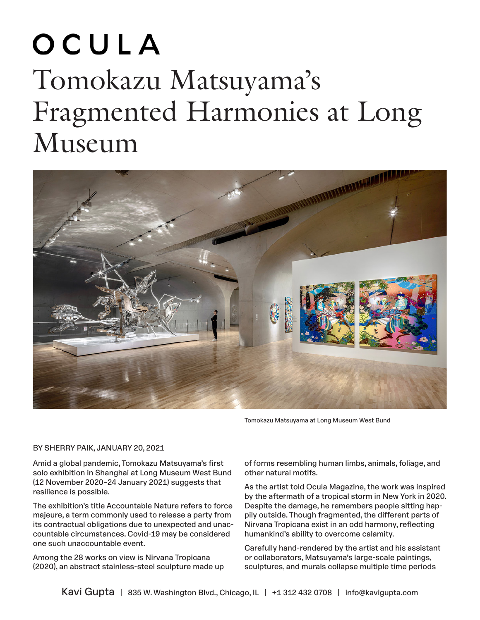## OCULA Tomokazu Matsuyama's Fragmented Harmonies at Long Museum



Tomokazu Matsuyama at Long Museum West Bund

## BY SHERRY PAIK, JANUARY 20, 2021

Amid a global pandemic, Tomokazu Matsuyama's first solo exhibition in Shanghai at Long Museum West Bund (12 November 2020–24 January 2021) suggests that resilience is possible.

The exhibition's title Accountable Nature refers to force majeure, a term commonly used to release a party from its contractual obligations due to unexpected and unaccountable circumstances. Covid-19 may be considered one such unaccountable event.

Among the 28 works on view is Nirvana Tropicana (2020), an abstract stainless-steel sculpture made up of forms resembling human limbs, animals, foliage, and other natural motifs.

As the artist told Ocula Magazine, the work was inspired by the aftermath of a tropical storm in New York in 2020. Despite the damage, he remembers people sitting happily outside. Though fragmented, the different parts of Nirvana Tropicana exist in an odd harmony, reflecting humankind's ability to overcome calamity.

Carefully hand-rendered by the artist and his assistant or collaborators, Matsuyama's large-scale paintings, sculptures, and murals collapse multiple time periods